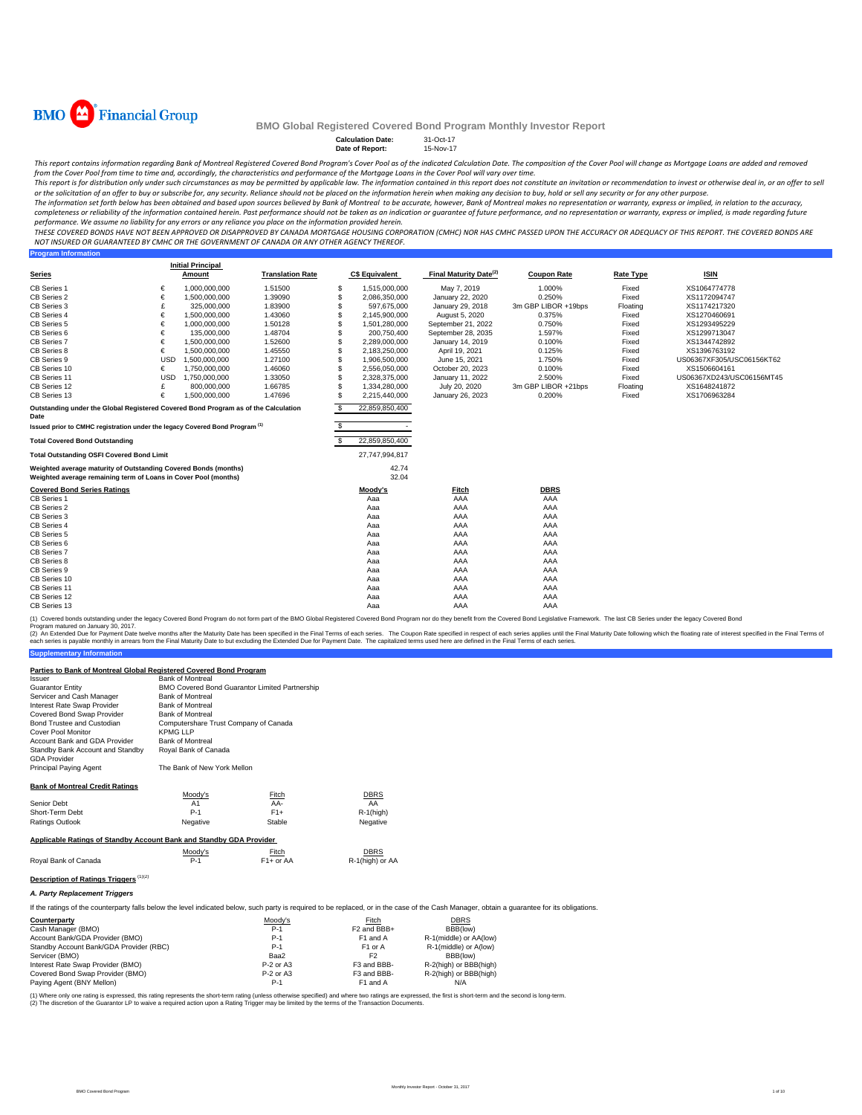

**Program Information**

### **BMO Global Registered Covered Bond Program Monthly Investor Report**

**Calculation Date:** 31-Oct-17 **Nov-17** 

This report contains information regarding Bank of Montreal Registered Covered Bond Program's Cover Pool as of the indicated Calculation Date. The composition of the Cover Pool will change as Mortgage Loans are added and r

from the Cover Pool from time to time and, accordingly, the characteristics and performance of the Mortgage Loans in the Cover Pool will vary over time.<br>This report is for distribution only under such circumstances as may or the solicitation of an offer to buy or subscribe for, any security. Reliance should not be placed on the information herein when making any decision to buy, hold or sell any security or for any other purpose.

The information set forth below has been obtained and based upon sources believed by Bank of Montreal to be accurate, however, Bank of Montreal makes no representation or warranty, express or implied, in relation to the ac performance. We assume no liability for any errors or any reliance you place on the information provided herein.

.<br>THESE COVERED BONDS HAVE NOT BEEN APPROVED OR DISAPPROVED BY CANADA MORTGAGE HOUSING CORPORATION (CMHC) NOR HAS CMHC PASSED UPON THE ACCURACY OR ADEQUACY OF THIS REPORT. THE COVERED BONDS ARE *NOT INSURED OR GUARANTEED BY CMHC OR THE GOVERNMENT OF CANADA OR ANY OTHER AGENCY THEREOF.*

**Series Initial Principal Amount C\$ Equivalent Final Maturity Date(2) Coupon Rate Rate Type ISIN** CB Series 1 € 1,000,000,000 1.51500 \$ 1,515,000,000 May 7, 2019 1.000% Fixed XS1064774778 CB Series 2 € 1,500,000,000 1.39090 \$ 2,086,350,000 January 22, 2020 0.250% Fixed XS1172094747 CB Series 3 £ 1.83900 325,000,000 \$ 597,675,000 January 29, 2018 3m GBP LIBOR +19bps Floating XS1174217320 CB Series 4 € 1,500,000,000 1.43060 \$ 2,145,900,000 August 5, 2020 0.375% Fixed XS1270460691 CB Series 5 € 1,000,000,000 1.50128 \$ 1,501,280,000 September 21, 2022 0.750% Fixed XS1293495229 CB Series 6 € 135,000,000 1.48704 \$ 200,750,400 September 28, 2035 1.597% Fixed XS1299713047 CB Series 7 € 1,500,000,000 1.52600 \$ 2,289,000,000 January 14, 2019 0.100% Fixed XS1344742892 CB Series 8 € 1,500,000,000 1.45550 \$ 2,183,250,000 April 19, 2021 0.125% Fixed XS1396763192 CB Series 9 USD 1,500,000,000 1.27100 \$ 1,906,500,000 June 15, 2021 1.750% Fixed US06367XF305/USC06156KT62 CB Series 10 € 1,750,000,000 1.46060 \$ 2,556,050,000 October 20, 2023 0.100% Fixed XS1506604161 CB Series 11 USD 1,750,000,000 1.33050 \$ 2,328,375,000 January 11, 2022 2.500% Fixed US06367XD243/USC06156MT45 CB Series 12 2000,000,000 1.66785 \$ 1,334,280,000 July 20, 2020 3m GBP LIBOR +21bps Floating XS1648241872<br>CB Series 13 € 1,500,000,000 1.47696 \$ 2,215,440,000 January 26, 2023 0.200% Fixed XS1706963284 CB Series 13 € 1,500,000,000 1.47696 \$ 2,215,440,000 January 26, 2023 0.200% Fixed XS1706963284 \$ 22,859,850,400  $\sim$  5  $-$ **Total Covered Bond Outstanding No. 22,859,850,400 Total Outstanding OSFI Covered Bond Limit** 27,747,994,817 42.74 32.04 **Covered Bond Series Ratings Moody's Fitch DBRS** CB Series 1 Aaa AAA AAA CB Series 2 Aaa AAA AAA CB Series 3 Aaa AAA AAA CB Series 4 Aaa AAA AAA CB Series 5 Aaa AAA AAA CB Series 6 Aaa AAA AAA CB Series 7 Aaa AAA AAA CB Series 8 Aaa AAA AAA CB Series 9 Aaa AAA AAA CB Series 10 Aaa AAA AAA CB Series 11 Aaa AAA AAA CB Series 12 Aaa AAA AAA CB Series 13 Aaa AAA AAA **Translation Rate Outstanding under the Global Registered Covered Bond Program as of the Calculation Date Issued prior to CMHC registration under the legacy Covered Bond Program (1) Weighted average maturity of Outstanding Covered Bonds (md Weighted average remaining term of Loans in Cover Pool (months)**

(1) Covered bonds outstanding under the legacy Covered Bond Program do not form part of the BMO Global Registered Covered Bond Program nor do they benefit from the Covered Bond Legislative Framework. The last CB Series und oram matured on January 30, 2017.

**Supplementary Information** (2) An Extended Due for Payment Date twelve months after the Maturity Date has been specified in the Final Terms of each series. The Coupon Rate specified in the Final Maturity Date to but excluding the Extended Due for Pa

#### **Parties to Bank of Montreal Global Registered Covered Bond Program**

| Issuer                                                                                                                                                                                      | <b>Bank of Montreal</b>               |                                                |                         |                        |  |
|---------------------------------------------------------------------------------------------------------------------------------------------------------------------------------------------|---------------------------------------|------------------------------------------------|-------------------------|------------------------|--|
| <b>Guarantor Entity</b>                                                                                                                                                                     |                                       | BMO Covered Bond Guarantor Limited Partnership |                         |                        |  |
| Servicer and Cash Manager                                                                                                                                                                   | <b>Bank of Montreal</b>               |                                                |                         |                        |  |
| Interest Rate Swap Provider                                                                                                                                                                 | <b>Bank of Montreal</b>               |                                                |                         |                        |  |
| Covered Bond Swap Provider                                                                                                                                                                  | <b>Bank of Montreal</b>               |                                                |                         |                        |  |
| Bond Trustee and Custodian                                                                                                                                                                  | Computershare Trust Company of Canada |                                                |                         |                        |  |
| Cover Pool Monitor                                                                                                                                                                          | <b>KPMG LLP</b>                       |                                                |                         |                        |  |
| Account Bank and GDA Provider                                                                                                                                                               | <b>Bank of Montreal</b>               |                                                |                         |                        |  |
| Standby Bank Account and Standby<br><b>GDA Provider</b>                                                                                                                                     | Royal Bank of Canada                  |                                                |                         |                        |  |
| Principal Paying Agent                                                                                                                                                                      | The Bank of New York Mellon           |                                                |                         |                        |  |
| <b>Bank of Montreal Credit Ratings</b>                                                                                                                                                      |                                       |                                                |                         |                        |  |
|                                                                                                                                                                                             | Moodv's                               | Fitch                                          | <b>DBRS</b>             |                        |  |
| Senior Debt                                                                                                                                                                                 | A1                                    | AA-                                            | AA                      |                        |  |
| Short-Term Debt                                                                                                                                                                             | $P-1$                                 | $F1+$                                          | $R-1$ (high)            |                        |  |
| <b>Ratings Outlook</b>                                                                                                                                                                      | Negative                              | Stable                                         | Negative                |                        |  |
| Applicable Ratings of Standby Account Bank and Standby GDA Provider                                                                                                                         |                                       |                                                |                         |                        |  |
|                                                                                                                                                                                             | Moody's                               | Fitch                                          | <b>DBRS</b>             |                        |  |
| Royal Bank of Canada                                                                                                                                                                        | $P-1$                                 | $F1+$ or AA                                    | R-1(high) or AA         |                        |  |
| Description of Ratings Triggers <sup>(1)(2)</sup>                                                                                                                                           |                                       |                                                |                         |                        |  |
| A. Party Replacement Triggers                                                                                                                                                               |                                       |                                                |                         |                        |  |
| If the ratings of the counterparty falls below the level indicated below, such party is required to be replaced, or in the case of the Cash Manager, obtain a quarantee for its obligations |                                       |                                                |                         |                        |  |
| Counterparty                                                                                                                                                                                |                                       | Moody's                                        | Fitch                   | <b>DBRS</b>            |  |
| Cash Manager (BMO)                                                                                                                                                                          |                                       | $P-1$                                          | F <sub>2</sub> and BBB+ | BBB(low)               |  |
| Account Bank/GDA Provider (BMO)                                                                                                                                                             |                                       | $P-1$                                          | F1 and A                | R-1(middle) or AA(low) |  |
| Standby Account Bank/GDA Provider (RBC)                                                                                                                                                     |                                       | $P-1$                                          | F1 or A                 | R-1(middle) or A(low)  |  |
| Servicer (BMO)                                                                                                                                                                              |                                       | Baa2                                           | F <sub>2</sub>          | BBB(low)               |  |
| Interest Rate Swap Provider (BMO)                                                                                                                                                           |                                       | $P-2$ or A3                                    | F3 and BBB-             | R-2(high) or BBB(high) |  |
| Covered Bond Swap Provider (BMO)                                                                                                                                                            |                                       | P-2 or A3                                      | F3 and BBB-             | R-2(high) or BBB(high) |  |
| Paving Agent (BNY Mellon)                                                                                                                                                                   |                                       | $P-1$                                          | F <sub>1</sub> and A    | N/A                    |  |

Paying Agent (BNY Mellon)

(1) Where only one rating is expressed, this rating represents the short-term rating (unless otherwise specified) and where two ratings are expressed, the first is short-term and the second is long-term.<br>(2) The discretion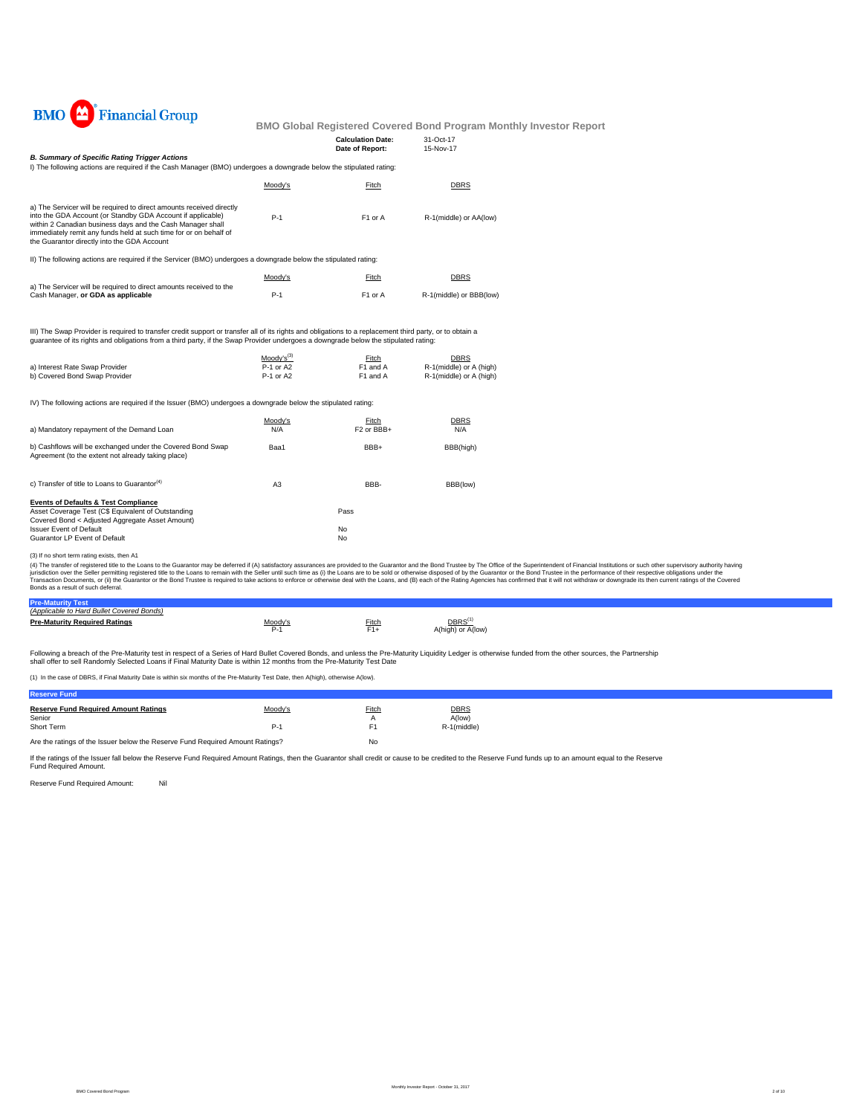

## **Budder Report**

| <b>Financial Group</b><br>BMO                                                                                                                                                                                                                                                                                         |                        |                                 | <b>BMO Global Registered Covered Bond Program Monthly</b> |
|-----------------------------------------------------------------------------------------------------------------------------------------------------------------------------------------------------------------------------------------------------------------------------------------------------------------------|------------------------|---------------------------------|-----------------------------------------------------------|
|                                                                                                                                                                                                                                                                                                                       |                        | <b>Calculation Date:</b>        | 31-Oct-17                                                 |
| <b>B. Summary of Specific Rating Trigger Actions</b><br>I) The following actions are required if the Cash Manager (BMO) undergoes a downgrade below the stipulated rating:                                                                                                                                            |                        | Date of Report:                 | 15-Nov-17                                                 |
|                                                                                                                                                                                                                                                                                                                       | Moody's                | Fitch                           | <b>DBRS</b>                                               |
| a) The Servicer will be required to direct amounts received directly<br>into the GDA Account (or Standby GDA Account if applicable)<br>within 2 Canadian business days and the Cash Manager shall<br>immediately remit any funds held at such time for or on behalf of<br>the Guarantor directly into the GDA Account | $P-1$                  | F1 or A                         | R-1(middle) or AA(low)                                    |
| II) The following actions are required if the Servicer (BMO) undergoes a downgrade below the stipulated rating:                                                                                                                                                                                                       |                        |                                 |                                                           |
|                                                                                                                                                                                                                                                                                                                       | Moody's                | Fitch                           | <b>DBRS</b>                                               |
| a) The Servicer will be required to direct amounts received to the<br>Cash Manager, or GDA as applicable                                                                                                                                                                                                              | $P-1$                  | F1 or A                         | R-1(middle) or BBB(low)                                   |
| III) The Swap Provider is required to transfer credit support or transfer all of its rights and obligations to a replacement third party, or to obtain a<br>quarantee of its rights and obligations from a third party, if the Swap Provider undergoes a downgrade below the stipulated rating:                       |                        |                                 |                                                           |
|                                                                                                                                                                                                                                                                                                                       | Moody's <sup>(3)</sup> | Fitch                           | <b>DBRS</b>                                               |
| a) Interest Rate Swap Provider<br>b) Covered Bond Swap Provider                                                                                                                                                                                                                                                       | P-1 or A2<br>P-1 or A2 | F1 and A<br>F1 and A            | R-1(middle) or A (high)<br>R-1(middle) or A (high)        |
| IV) The following actions are required if the Issuer (BMO) undergoes a downgrade below the stipulated rating:                                                                                                                                                                                                         |                        |                                 |                                                           |
| a) Mandatory repayment of the Demand Loan                                                                                                                                                                                                                                                                             | Moody's<br>N/A         | Fitch<br>F <sub>2</sub> or BBB+ | <b>DBRS</b><br>N/A                                        |
| b) Cashflows will be exchanged under the Covered Bond Swap<br>Agreement (to the extent not already taking place)                                                                                                                                                                                                      | Baa1                   | BBB+                            | BBB(high)                                                 |
| c) Transfer of title to Loans to Guarantor <sup>(4)</sup>                                                                                                                                                                                                                                                             | A <sub>3</sub>         | BBB-                            | BBB(low)                                                  |
| <b>Events of Defaults &amp; Test Compliance</b><br>Asset Coverage Test (C\$ Equivalent of Outstanding<br>Covered Bond < Adjusted Aggregate Asset Amount)                                                                                                                                                              |                        | Pass                            |                                                           |
| <b>Issuer Event of Default</b><br>Guarantor LP Event of Default                                                                                                                                                                                                                                                       |                        | No<br>No                        |                                                           |
|                                                                                                                                                                                                                                                                                                                       |                        |                                 |                                                           |
| (3) If no short term rating exists, then A1                                                                                                                                                                                                                                                                           |                        |                                 |                                                           |

(3) If no short term rating exists, then A1<br>(4) The transfer of registered tilte to the Coars of the Guarantor may be deferred if (A) satisfactory assurances are provided to the Guarantor and the Bond Trustee by The Office

| (Applicable to Hard Bullet Covered Bonds) |             |       |                           |
|-------------------------------------------|-------------|-------|---------------------------|
| <b>Pre-Maturity Required Ratings</b>      | 0.001<br>-- | Fitch | DBRS<br>A(high) or A(low) |

Following a breach of the Pre-Maturity test in respect of a Series of Hard Bullet Covered Bonds, and unless the Pre-Maturity Liquidity Ledger is otherwise funded from the other sources, the Partnership<br>shall offer to sell

(1) In the case of DBRS, if Final Maturity Date is within six months of the Pre-Maturity Test Date, then A(high), otherwise A(low).

| <b>Reserve Fund</b>                                                           |         |       |                       |  |
|-------------------------------------------------------------------------------|---------|-------|-----------------------|--|
| <b>Reserve Fund Required Amount Ratings</b><br>Senior                         | Moody's | Fitch | <b>DBRS</b><br>A(low) |  |
| Short Term                                                                    | P-1     | F1    | R-1(middle)           |  |
| Are the ratings of the Issuer below the Reserve Fund Required Amount Ratings? |         | No    |                       |  |

If the ratings of the Issuer fall below the Reserve Fund Required Amount Ratings, then the Guarantor shall credit or cause to be credited to the Reserve Fund funds up to an amount equal to the Reserve<br>Fund Required Amount.

Reserve Fund Required Amount: Nil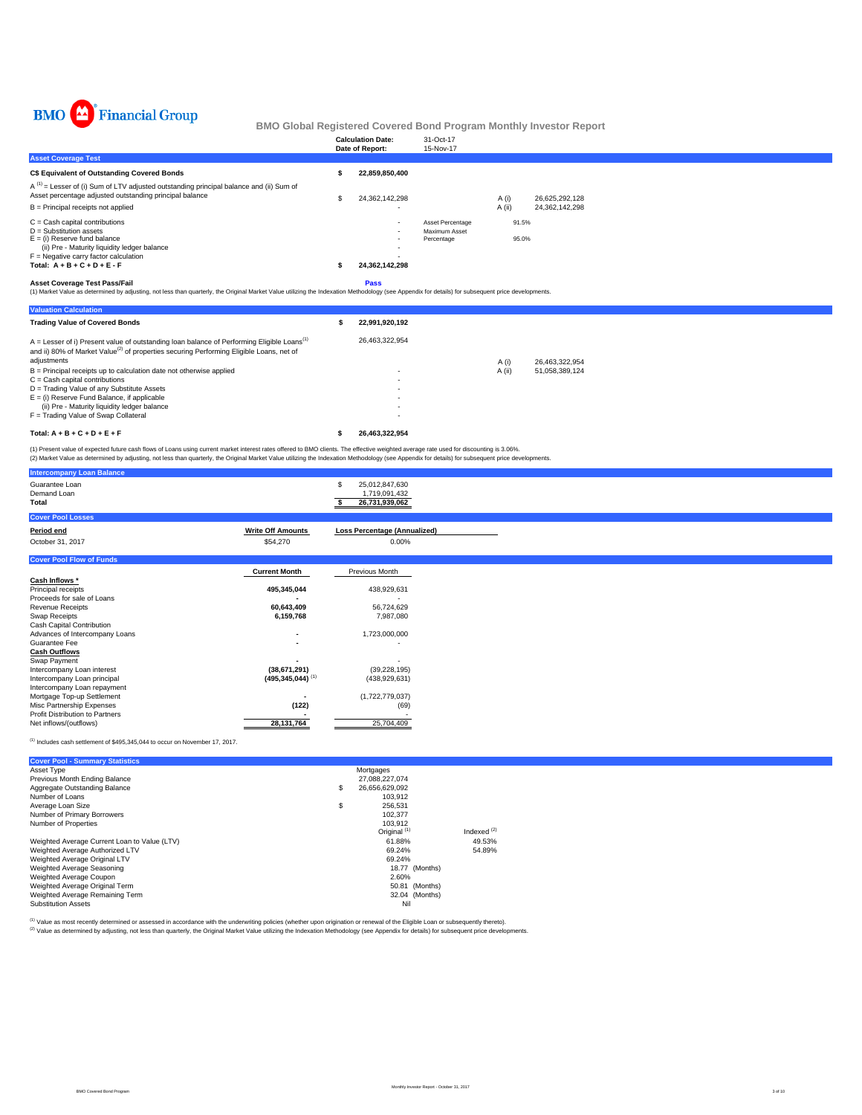

|                                                                                                                                                                                                                              | <b>Calculation Date:</b><br>Date of Report: |                | 31-Oct-17<br>15-Nov-17                          |                 |                                  |  |
|------------------------------------------------------------------------------------------------------------------------------------------------------------------------------------------------------------------------------|---------------------------------------------|----------------|-------------------------------------------------|-----------------|----------------------------------|--|
| <b>Asset Coverage Test</b>                                                                                                                                                                                                   |                                             |                |                                                 |                 |                                  |  |
| <b>C\$ Equivalent of Outstanding Covered Bonds</b>                                                                                                                                                                           |                                             | 22.859.850.400 |                                                 |                 |                                  |  |
| $A^{(1)}$ = Lesser of (i) Sum of LTV adjusted outstanding principal balance and (ii) Sum of<br>Asset percentage adjusted outstanding principal balance<br>$B =$ Principal receipts not applied                               | S                                           | 24.362.142.298 |                                                 | A (i)<br>A (ii) | 26.625.292.128<br>24,362,142,298 |  |
| $C =$ Cash capital contributions<br>$D =$ Substitution assets<br>$E =$ (i) Reserve fund balance<br>(ii) Pre - Maturity liquidity ledger balance<br>$F =$ Negative carry factor calculation<br>Total: $A + B + C + D + E - F$ |                                             | 24.362.142.298 | Asset Percentage<br>Maximum Asset<br>Percentage | 91.5%<br>95.0%  |                                  |  |
|                                                                                                                                                                                                                              |                                             | $\sim$ $\sim$  |                                                 |                 |                                  |  |

**Asset Coverage Test Pass/Fail**<br>(1) Market Value as determined by adjusting, not less than quarterly, the Original Market Value utilizing the Indexation Methodology (see Appendix for details) for subsequent price developme

| <b>Valuation Calculation</b>                                                                                                                                                                                    |                |        |                |
|-----------------------------------------------------------------------------------------------------------------------------------------------------------------------------------------------------------------|----------------|--------|----------------|
| <b>Trading Value of Covered Bonds</b>                                                                                                                                                                           | 22.991.920.192 |        |                |
| $A =$ Lesser of i) Present value of outstanding loan balance of Performing Eligible Loans <sup>(1)</sup><br>and ii) 80% of Market Value <sup>(2)</sup> of properties securing Performing Eligible Loans, net of | 26.463.322.954 |        |                |
| adjustments                                                                                                                                                                                                     |                | A (i)  | 26.463.322.954 |
| $B =$ Principal receipts up to calculation date not otherwise applied                                                                                                                                           |                | A (ii) | 51.058.389.124 |
| $C =$ Cash capital contributions                                                                                                                                                                                |                |        |                |
| D = Trading Value of any Substitute Assets                                                                                                                                                                      |                |        |                |
| $E =$ (i) Reserve Fund Balance, if applicable                                                                                                                                                                   |                |        |                |
| (ii) Pre - Maturity liquidity ledger balance                                                                                                                                                                    |                |        |                |
| F = Trading Value of Swap Collateral                                                                                                                                                                            |                |        |                |
| Total: $A + B + C + D + E + F$                                                                                                                                                                                  | 26.463.322.954 |        |                |

(1) Present value of expected future cash flows of Loans using current market interest rates offered to BMO clients. The effective weighted average rate used for discounting is 3.06%.<br>(2) Market Value as determined by adju

| <b>Intercompany Loan Balance</b>              |                                  |                                                        |
|-----------------------------------------------|----------------------------------|--------------------------------------------------------|
| Guarantee Loan<br>Demand Loan<br><b>Total</b> |                                  | S<br>25,012,847,630<br>1,719,091,432<br>26,731,939,062 |
| <b>Cover Pool Losses</b>                      |                                  |                                                        |
| Period end                                    | <b>Write Off Amounts</b>         | <b>Loss Percentage (Annualized)</b>                    |
| October 31, 2017                              | \$54,270                         | 0.00%                                                  |
| <b>Cover Pool Flow of Funds</b>               |                                  |                                                        |
|                                               | <b>Current Month</b>             | Previous Month                                         |
| Cash Inflows *                                |                                  |                                                        |
| Principal receipts                            | 495,345,044                      | 438,929,631                                            |
| Proceeds for sale of Loans                    |                                  |                                                        |
| <b>Revenue Receipts</b>                       | 60,643,409                       | 56,724,629                                             |
| Swap Receipts                                 | 6,159,768                        | 7,987,080                                              |
| Cash Capital Contribution                     |                                  |                                                        |
| Advances of Intercompany Loans                |                                  | 1,723,000,000                                          |
| Guarantee Fee                                 |                                  |                                                        |
| <b>Cash Outflows</b>                          |                                  |                                                        |
| Swap Payment                                  |                                  |                                                        |
| Intercompany Loan interest                    | (38,671,291)                     | (39, 228, 195)                                         |
| Intercompany Loan principal                   | $(495, 345, 044)$ <sup>(1)</sup> | (438, 929, 631)                                        |
| Intercompany Loan repayment                   |                                  |                                                        |
| Mortgage Top-up Settlement                    |                                  | (1,722,779,037)                                        |
| Misc Partnership Expenses                     | (122)                            | (69)                                                   |
| <b>Profit Distribution to Partners</b>        |                                  |                                                        |
| Net inflows/(outflows)                        | 28, 131, 764                     | 25,704,409                                             |

 $(1)$  Includes cash settlement of \$495,345,044 to occur on November 17, 2017.

| <b>Cover Pool - Summary Statistics</b>       |                |                         |               |  |  |
|----------------------------------------------|----------------|-------------------------|---------------|--|--|
| Asset Type                                   |                | Mortgages               |               |  |  |
| Previous Month Ending Balance                |                | 27,088,227,074          |               |  |  |
| Aggregate Outstanding Balance                | \$             | 26,656,629,092          |               |  |  |
| Number of Loans                              |                | 103.912                 |               |  |  |
| Average Loan Size                            | \$             | 256.531                 |               |  |  |
| Number of Primary Borrowers                  |                | 102.377                 |               |  |  |
| Number of Properties                         |                | 103.912                 |               |  |  |
|                                              |                | Original <sup>(1)</sup> | Indexed $(2)$ |  |  |
| Weighted Average Current Loan to Value (LTV) |                | 61.88%                  | 49.53%        |  |  |
| Weighted Average Authorized LTV              |                | 69.24%                  | 54.89%        |  |  |
| Weighted Average Original LTV                |                | 69.24%                  |               |  |  |
| Weighted Average Seasoning                   |                | 18.77 (Months)          |               |  |  |
| Weighted Average Coupon                      |                | 2.60%                   |               |  |  |
| Weighted Average Original Term               |                | 50.81 (Months)          |               |  |  |
| Weighted Average Remaining Term              | 32.04 (Months) |                         |               |  |  |
| <b>Substitution Assets</b>                   |                | Nil                     |               |  |  |

(1) Value as most recently determined or assessed in accordance with the underwriting policies (whether upon origination or renewal of the Eligible Loan or subsequently thereto).

(2) Value as determined by adjusting, not less than quarterly, the Original Market Value utilizing the Indexation Methodology (see Appendix for details) for subsequent price developments.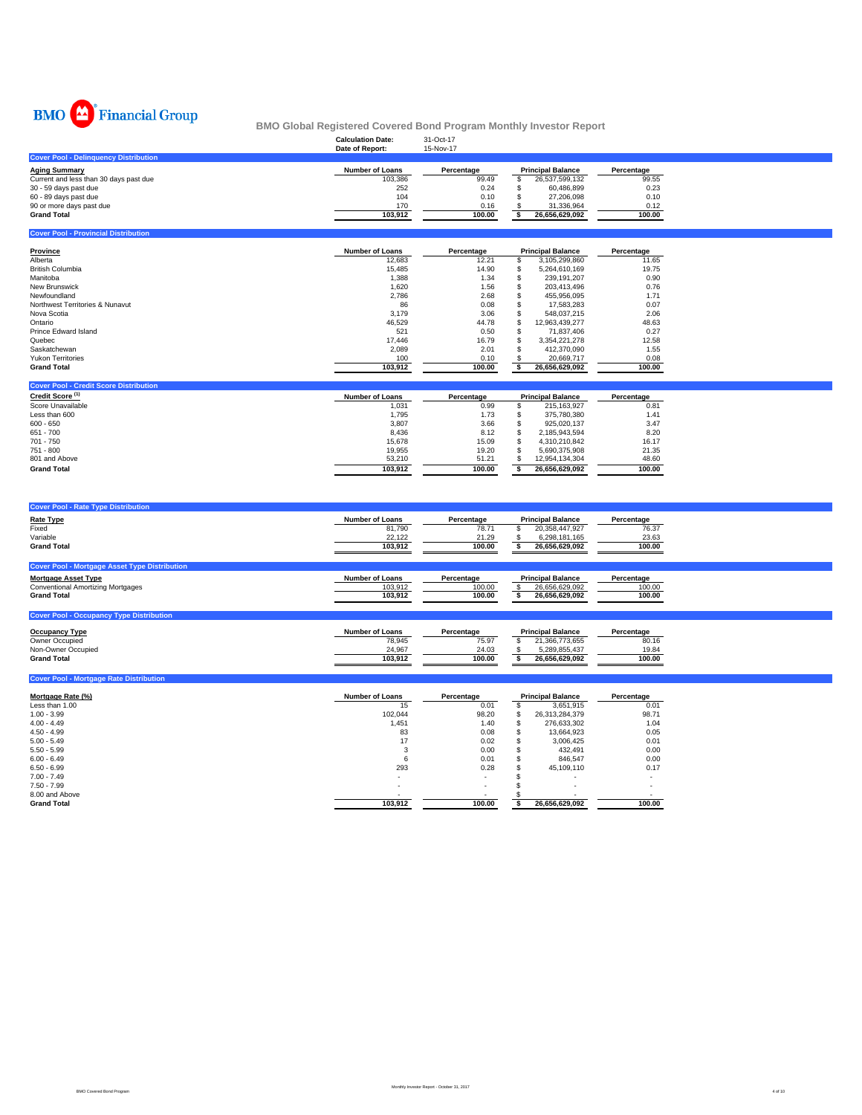

|                                               | <b>Calculation Date:</b> | 31-Oct-17  |                          |                          |            |
|-----------------------------------------------|--------------------------|------------|--------------------------|--------------------------|------------|
|                                               | Date of Report:          | 15-Nov-17  |                          |                          |            |
| <b>Cover Pool - Delinguency Distribution</b>  |                          |            |                          |                          |            |
| <b>Aging Summary</b>                          | <b>Number of Loans</b>   | Percentage | <b>Principal Balance</b> |                          | Percentage |
| Current and less than 30 days past due        | 103,386                  | 99.49      | S                        | 26,537,599,132           | 99.55      |
| 30 - 59 days past due                         | 252                      | 0.24       | £.                       | 60,486,899               | 0.23       |
| 60 - 89 days past due                         | 104                      | 0.10       |                          | 27,206,098               | 0.10       |
| 90 or more days past due                      | 170                      | 0.16       |                          | 31,336,964               | 0.12       |
| <b>Grand Total</b>                            | 103,912                  | 100.00     | S.                       | 26,656,629,092           | 100.00     |
|                                               |                          |            |                          |                          |            |
| <b>Cover Pool - Provincial Distribution</b>   |                          |            |                          |                          |            |
| Province                                      | <b>Number of Loans</b>   | Percentage |                          | <b>Principal Balance</b> | Percentage |
| Alberta                                       | 12,683                   | 12.21      | \$                       | 3.105.299.860            | 11.65      |
| <b>British Columbia</b>                       | 15,485                   | 14.90      | \$                       | 5,264,610,169            | 19.75      |
| Manitoba                                      | 1,388                    | 1.34       | \$                       | 239,191,207              | 0.90       |
| <b>New Brunswick</b>                          | 1.620                    | 1.56       | \$                       | 203.413.496              | 0.76       |
| Newfoundland                                  | 2,786                    | 2.68       | \$                       | 455,956,095              | 1.71       |
| Northwest Territories & Nunavut               | 86                       | 0.08       | \$                       | 17,583,283               | 0.07       |
| Nova Scotia                                   | 3,179                    | 3.06       | \$                       | 548,037,215              | 2.06       |
| Ontario                                       | 46,529                   | 44.78      |                          | 12.963.439.277           | 48.63      |
| <b>Prince Edward Island</b>                   | 521                      | 0.50       | \$.                      | 71,837,406               | 0.27       |
| Quebec                                        | 17,446                   | 16.79      |                          | 3,354,221,278            | 12.58      |
| Saskatchewan                                  | 2,089                    | 2.01       |                          | 412,370,090              | 1.55       |
| <b>Yukon Territories</b>                      | 100                      | 0.10       | S                        | 20.669.717               | 0.08       |
| <b>Grand Total</b>                            | 103,912                  | 100.00     | S.                       | 26,656,629,092           | 100.00     |
|                                               |                          |            |                          |                          |            |
| <b>Cover Pool - Credit Score Distribution</b> |                          |            |                          |                          |            |
| Credit Score <sup>(1)</sup>                   | <b>Number of Loans</b>   | Percentage | <b>Principal Balance</b> |                          | Percentage |
| Score Unavailable                             | 1,031                    | 0.99       | \$                       | 215, 163, 927            | 0.81       |
| Less than 600                                 | 1,795                    | 1.73       | \$                       | 375,780,380              | 1.41       |
| $600 - 650$                                   | 3,807                    | 3.66       | \$                       | 925,020,137              | 3.47       |
| $651 - 700$                                   | 8,436                    | 8.12       | \$                       | 2,185,943,594            | 8.20       |
| 701 - 750                                     | 15,678                   | 15.09      | \$.                      | 4,310,210,842            | 16.17      |
| $751 - 800$                                   | 19,955                   | 19.20      |                          | 5,690,375,908            | 21.35      |
| 801 and Above                                 | 53,210                   | 51.21      | \$                       | 12,954,134,304           | 48.60      |

| <b>Cover Pool - Rate Type Distribution</b>           |                        |            |                          |            |  |
|------------------------------------------------------|------------------------|------------|--------------------------|------------|--|
| <b>Rate Type</b>                                     | <b>Number of Loans</b> | Percentage | <b>Principal Balance</b> | Percentage |  |
| Fixed                                                | 81,790                 | 78.71      | 20,358,447,927           | 76.37      |  |
| Variable                                             | 22,122                 | 21.29      | 6,298,181,165            | 23.63      |  |
| <b>Grand Total</b>                                   | 103,912                | 100.00     | 26,656,629,092           | 100.00     |  |
| <b>Cover Pool - Mortgage Asset Type Distribution</b> |                        |            |                          |            |  |
| <b>Mortgage Asset Type</b>                           | <b>Number of Loans</b> | Percentage | <b>Principal Balance</b> | Percentage |  |
| <b>Conventional Amortizing Mortgages</b>             | 103.912                | 100.00     | 26.656.629.092           | 100.00     |  |
| <b>Grand Total</b>                                   | 103,912                | 100.00     | 26,656,629,092           | 100.00     |  |
| <b>Cover Pool - Occupancy Type Distribution</b>      |                        |            |                          |            |  |
| <b>Occupancy Type</b>                                | <b>Number of Loans</b> | Percentage | <b>Principal Balance</b> | Percentage |  |
| Owner Occupied                                       | 78,945                 | 75.97      | 21,366,773,655           | 80.16      |  |
| Non-Owner Occupied                                   | 24,967                 | 24.03      | 5,289,855,437            | 19.84      |  |
| <b>Grand Total</b>                                   | 103,912                | 100.00     | 26,656,629,092           | 100.00     |  |

| <b>Cover Pool - Mortgage Rate Distribution</b> |                        |            |    |                          |            |
|------------------------------------------------|------------------------|------------|----|--------------------------|------------|
| Mortgage Rate (%)                              | <b>Number of Loans</b> | Percentage |    | <b>Principal Balance</b> | Percentage |
| Less than 1.00                                 | 15                     | 0.01       |    | 3.651.915                | 0.01       |
| $1.00 - 3.99$                                  | 102.044                | 98.20      | \$ | 26.313.284.379           | 98.71      |
| $4.00 - 4.49$                                  | 1,451                  | 1.40       | S  | 276.633.302              | 1.04       |
| $4.50 - 4.99$                                  | 83                     | 0.08       | \$ | 13.664.923               | 0.05       |
| $5.00 - 5.49$                                  | 17                     | 0.02       | S  | 3.006.425                | 0.01       |
| $5.50 - 5.99$                                  |                        | 0.00       | \$ | 432.491                  | 0.00       |
| $6.00 - 6.49$                                  | 6                      | 0.01       |    | 846,547                  | 0.00       |
| $6.50 - 6.99$                                  | 293                    | 0.28       | \$ | 45.109.110               | 0.17       |
| $7.00 - 7.49$                                  |                        | $\sim$     |    |                          | ۰          |
| $7.50 - 7.99$                                  |                        |            |    | $\sim$                   |            |
| 8.00 and Above                                 |                        |            |    |                          |            |
| <b>Grand Total</b>                             | 103,912                | 100.00     |    | 26.656.629.092           | 100.00     |

**Grand Total 100.00 103,912 26,656,629,092 \$ 100.00**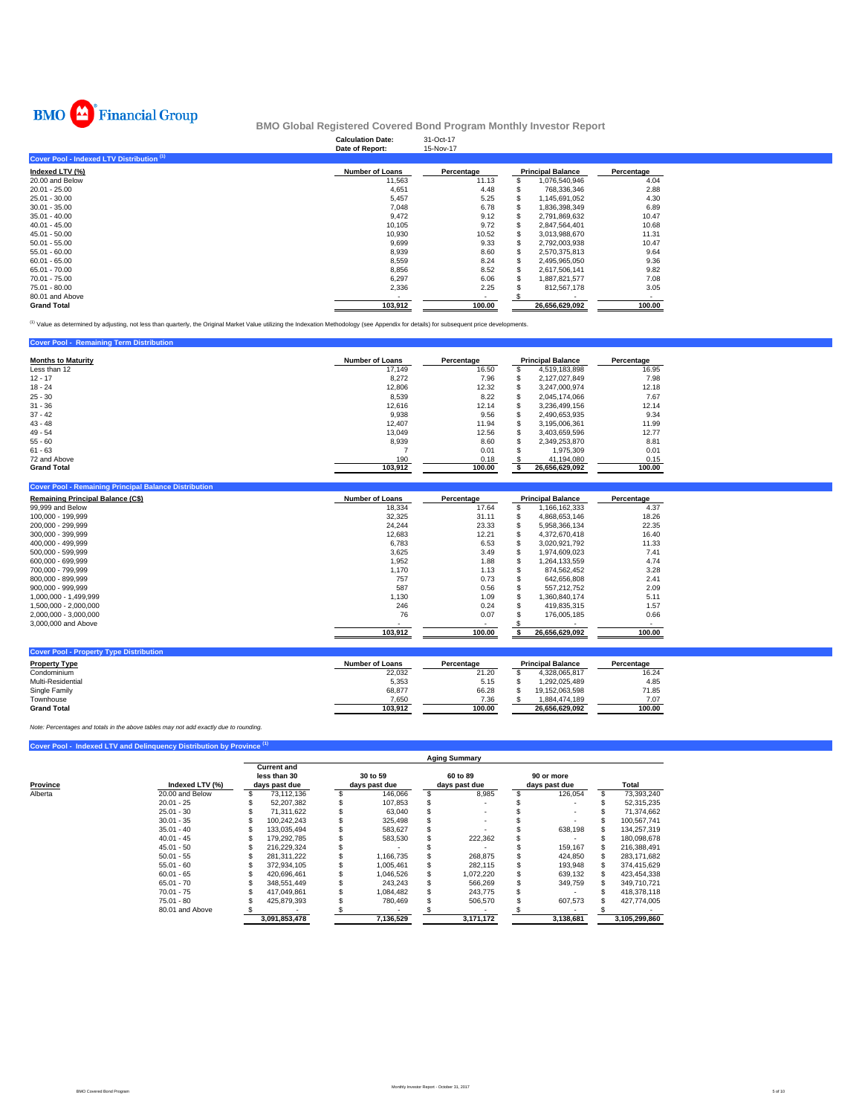

|                                                      | <b>Calculation Date:</b><br>Date of Report: | 31-Oct-17<br>15-Nov-17 |                          |            |
|------------------------------------------------------|---------------------------------------------|------------------------|--------------------------|------------|
| Cover Pool - Indexed LTV Distribution <sup>(1)</sup> |                                             |                        |                          |            |
| Indexed LTV (%)                                      | <b>Number of Loans</b>                      | Percentage             | <b>Principal Balance</b> | Percentage |
| 20.00 and Below                                      | 11,563                                      | 11.13                  | 1,076,540,946            | 4.04       |
| $20.01 - 25.00$                                      | 4,651                                       | 4.48                   | 768,336,346              | 2.88       |
| 25.01 - 30.00                                        | 5,457                                       | 5.25                   | 1,145,691,052            | 4.30       |
| $30.01 - 35.00$                                      | 7.048                                       | 6.78                   | 1,836,398,349            | 6.89       |
| $35.01 - 40.00$                                      | 9.472                                       | 9.12                   | 2,791,869,632            | 10.47      |
| $40.01 - 45.00$                                      | 10,105                                      | 9.72                   | 2,847,564,401            | 10.68      |
| $45.01 - 50.00$                                      | 10,930                                      | 10.52                  | 3,013,988,670            | 11.31      |
| $50.01 - 55.00$                                      | 9,699                                       | 9.33                   | 2,792,003,938            | 10.47      |
| $55.01 - 60.00$                                      | 8,939                                       | 8.60                   | 2.570.375.813            | 9.64       |
| $60.01 - 65.00$                                      | 8,559                                       | 8.24                   | 2,495,965,050            | 9.36       |
| 65.01 - 70.00                                        | 8,856                                       | 8.52                   | 2,617,506,141            | 9.82       |
| 70.01 - 75.00                                        | 6,297                                       | 6.06                   | 1,887,821,577            | 7.08       |
| 75.01 - 80.00                                        | 2,336                                       | 2.25                   | 812,567,178              | 3.05       |
| 80.01 and Above                                      |                                             | ۰                      |                          |            |
| <b>Grand Total</b>                                   | 103,912                                     | 100.00                 | 26,656,629,092           | 100.00     |

(1) Value as determined by adjusting, not less than quarterly, the Original Market Value utilizing the Indexation Methodology (see Appendix for details) for subsequent price developments.

| <b>Cover Pool - Remaining Term Distribution</b> |                        |            |     |                          |            |
|-------------------------------------------------|------------------------|------------|-----|--------------------------|------------|
| <b>Months to Maturity</b>                       | <b>Number of Loans</b> | Percentage |     | <b>Principal Balance</b> | Percentage |
| Less than 12                                    | 17.149                 | 16.50      |     | 4.519.183.898            | 16.95      |
| $12 - 17$                                       | 8,272                  | 7.96       | Эħ. | 2.127.027.849            | 7.98       |
| $18 - 24$                                       | 12,806                 | 12.32      | S   | 3.247.000.974            | 12.18      |
| $25 - 30$                                       | 8.539                  | 8.22       | S   | 2.045.174.066            | 7.67       |
| $31 - 36$                                       | 12.616                 | 12.14      | S   | 3.236.499.156            | 12.14      |
| $37 - 42$                                       | 9.938                  | 9.56       | S.  | 2.490.653.935            | 9.34       |
| $43 - 48$                                       | 12.407                 | 11.94      | Эħ. | 3.195.006.361            | 11.99      |
| $49 - 54$                                       | 13.049                 | 12.56      | S   | 3.403.659.596            | 12.77      |
| $55 - 60$                                       | 8,939                  | 8.60       |     | 2.349.253.870            | 8.81       |
| $61 - 63$                                       |                        | 0.01       |     | 1.975.309                | 0.01       |
| 72 and Above                                    | 190                    | 0.18       |     | 41,194,080               | 0.15       |
| <b>Grand Total</b>                              | 103.912                | 100.00     |     | 26.656.629.092           | 100.00     |

| <b>Remaining Principal Balance (C\$)</b> | <b>Number of Loans</b> | Percentage |   | <b>Principal Balance</b> | Percentage |
|------------------------------------------|------------------------|------------|---|--------------------------|------------|
| 99,999 and Below                         | 18.334                 | 17.64      |   | 1.166.162.333            | 4.37       |
| 100.000 - 199.999                        | 32,325                 | 31.11      | ъ | 4.868.653.146            | 18.26      |
| 200.000 - 299.999                        | 24.244                 | 23.33      |   | 5.958.366.134            | 22.35      |
| 300.000 - 399.999                        | 12,683                 | 12.21      |   | 4.372.670.418            | 16.40      |
| 400.000 - 499.999                        | 6,783                  | 6.53       |   | 3.020.921.792            | 11.33      |
| 500.000 - 599.999                        | 3,625                  | 3.49       |   | 1.974.609.023            | 7.41       |
| 600.000 - 699.999                        | 1,952                  | 1.88       |   | 1.264.133.559            | 4.74       |
| 700.000 - 799.999                        | 1.170                  | 1.13       |   | 874.562.452              | 3.28       |
| 800.000 - 899.999                        | 757                    | 0.73       |   | 642.656.808              | 2.41       |
| 900.000 - 999.999                        | 587                    | 0.56       |   | 557.212.752              | 2.09       |
| 1.000.000 - 1.499.999                    | 1.130                  | 1.09       |   | 1.360.840.174            | 5.11       |
| 1.500.000 - 2.000.000                    | 246                    | 0.24       |   | 419.835.315              | 1.57       |
| 2.000.000 - 3.000.000                    | 76                     | 0.07       |   | 176,005,185              | 0.66       |
| 3,000,000 and Above                      |                        |            |   |                          |            |
|                                          | 103.912                | 100.00     |   | 26.656.629.092           | 100.00     |

| <b>Cover Pool - Property Type Distribution</b> |                        |            |                          |            |
|------------------------------------------------|------------------------|------------|--------------------------|------------|
| <b>Property Type</b>                           | <b>Number of Loans</b> | Percentage | <b>Principal Balance</b> | Percentage |
| Condominium                                    | 22.032                 | 21.20      | 4.328.065.817            | 16.24      |
| Multi-Residential                              | 5.353                  | 5.15       | .292.025.489             | 4.85       |
| Single Family                                  | 68,877                 | 66.28      | 19.152.063.598           | 71.85      |
| Townhouse                                      | 7.650                  | 7.36       | 884.474.189              | 7.07       |
| <b>Grand Total</b>                             | 103.912                | 100.00     | 26.656.629.092           | 100.00     |

*Note: Percentages and totals in the above tables may not add exactly due to rounding.*

**Cover Pool - Indexed LTV and Delinquency Distribution by Province (1)**

**Cover Pool - Remaining Principal Balance Distribution**

|                             |                 | <b>Aging Summary</b> |                                                     |  |                           |  |                           |  |                             |     |               |  |  |  |
|-----------------------------|-----------------|----------------------|-----------------------------------------------------|--|---------------------------|--|---------------------------|--|-----------------------------|-----|---------------|--|--|--|
| Province<br>Indexed LTV (%) |                 |                      | <b>Current and</b><br>less than 30<br>days past due |  | 30 to 59<br>days past due |  | 60 to 89<br>days past due |  | 90 or more<br>days past due |     | Total         |  |  |  |
| Alberta                     | 20.00 and Below |                      | 73.112.136                                          |  | 146.066                   |  | 8,985                     |  | 126.054                     | \$. | 73,393,240    |  |  |  |
|                             | $20.01 - 25$    |                      | 52.207.382                                          |  | 107.853                   |  |                           |  |                             |     | 52.315.235    |  |  |  |
|                             | $25.01 - 30$    |                      | 71.311.622                                          |  | 63,040                    |  |                           |  |                             |     | 71.374.662    |  |  |  |
|                             | $30.01 - 35$    |                      | 100.242.243                                         |  | 325,498                   |  |                           |  |                             |     | 100.567.741   |  |  |  |
|                             | $35.01 - 40$    |                      | 133.035.494                                         |  | 583.627                   |  |                           |  | 638.198                     |     | 134,257,319   |  |  |  |
|                             | $40.01 - 45$    |                      | 179.292.785                                         |  | 583.530                   |  | 222,362                   |  |                             |     | 180.098.678   |  |  |  |
|                             | $45.01 - 50$    |                      | 216.229.324                                         |  |                           |  |                           |  | 159.167                     |     | 216.388.491   |  |  |  |
|                             | $50.01 - 55$    |                      | 281.311.222                                         |  | 1.166.735                 |  | 268.875                   |  | 424.850                     |     | 283.171.682   |  |  |  |
|                             | $55.01 - 60$    |                      | 372.934.105                                         |  | 1.005.461                 |  | 282.115                   |  | 193.948                     |     | 374.415.629   |  |  |  |
|                             | $60.01 - 65$    |                      | 420.696.461                                         |  | 1.046.526                 |  | 1,072,220                 |  | 639,132                     |     | 423,454,338   |  |  |  |
|                             | $65.01 - 70$    |                      | 348.551.449                                         |  | 243.243                   |  | 566.269                   |  | 349,759                     |     | 349,710,721   |  |  |  |
|                             | $70.01 - 75$    |                      | 417.049.861                                         |  | 1.084.482                 |  | 243.775                   |  |                             |     | 418.378.118   |  |  |  |
|                             | $75.01 - 80$    |                      | 425.879.393                                         |  | 780.469                   |  | 506,570                   |  | 607,573                     |     | 427.774.005   |  |  |  |
|                             | 80.01 and Above |                      |                                                     |  |                           |  |                           |  |                             |     |               |  |  |  |
|                             |                 |                      | 3,091,853,478                                       |  | 7,136,529                 |  | 3,171,172                 |  | 3.138.681                   |     | 3,105,299,860 |  |  |  |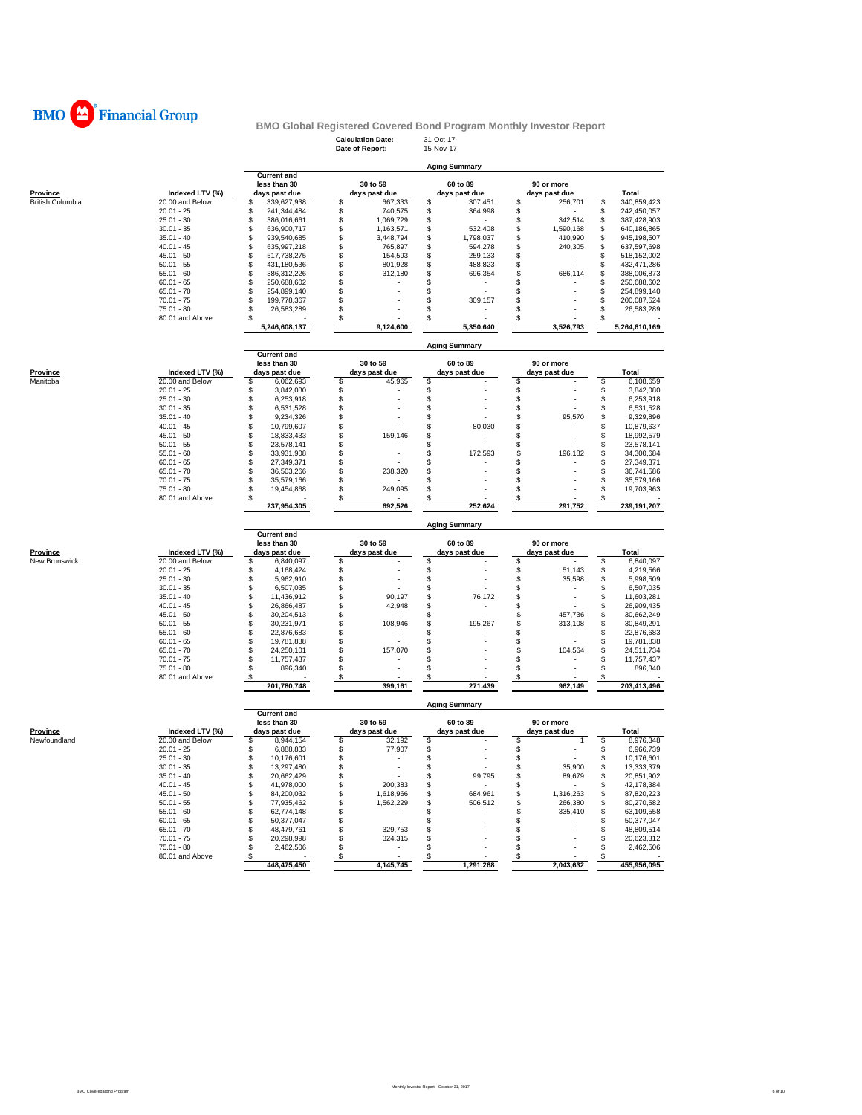

### **Calculation Date: Date of Report:** 15-Nov-17 **BMO Global Registered Covered Bond Program Monthly Investor Report**

|                         |                   |                                    | Date of Report:     | 15-1107-17                      |                                |                   |
|-------------------------|-------------------|------------------------------------|---------------------|---------------------------------|--------------------------------|-------------------|
|                         |                   |                                    |                     | <b>Aging Summary</b>            |                                |                   |
|                         |                   | <b>Current and</b>                 | 30 to 59            |                                 |                                |                   |
|                         |                   | less than 30                       |                     | 60 to 89                        | 90 or more                     |                   |
| Province                | Indexed LTV (%)   | days past due                      | days past due       | days past due                   | days past due                  | Total             |
| <b>British Columbia</b> | $20.00$ and Below | \$<br>339,627,938                  | \$<br>667,333<br>\$ | \$<br>307,451                   | \$<br>256,701                  | 340,859,423<br>\$ |
|                         | $20.01 - 25$      | \$<br>241,344,484                  | 740,575             | \$<br>364,998                   | \$                             | 242,450,057<br>\$ |
|                         | $25.01 - 30$      | 386,016,661<br>\$                  | \$<br>1,069,729     | \$                              | \$<br>342,514                  | 387,428,903<br>\$ |
|                         | $30.01 - 35$      | \$<br>636,900,717                  | \$<br>1,163,571     | 532,408<br>\$                   | \$<br>1,590,168                | \$<br>640,186,865 |
|                         | $35.01 - 40$      | \$<br>939,540,685                  | \$<br>3,448,794     | 1,798,037<br>\$                 | \$<br>410,990                  | \$<br>945,198,507 |
|                         | $40.01 - 45$      | \$<br>635,997,218                  | \$<br>765,897       | 594,278<br>\$                   | \$<br>240,305                  | 637,597,698<br>\$ |
|                         | $45.01 - 50$      | \$<br>517,738,275                  | \$<br>154,593       | \$<br>259,133                   | \$                             | \$<br>518,152,002 |
|                         | $50.01 - 55$      | \$<br>431,180,536                  | \$<br>801,928       | \$<br>488,823                   | \$<br>$\overline{a}$           | 432,471,286<br>\$ |
|                         | $55.01 - 60$      | \$<br>386,312,226                  | \$<br>312,180       | \$<br>696,354                   | \$<br>686,114                  | 388,006,873<br>\$ |
|                         | $60.01 - 65$      | \$<br>250,688,602                  | \$                  | \$                              | \$                             | \$<br>250,688,602 |
|                         | $65.01 - 70$      | \$<br>254,899,140                  | \$                  | Ť,<br>\$                        | \$                             | 254,899,140<br>\$ |
|                         | $70.01 - 75$      | 199,778,367<br>\$                  | S                   | \$<br>309,157                   | \$                             | 200,087,524<br>\$ |
|                         | $75.01 - 80$      | 26,583,289<br>\$                   |                     | \$                              | \$                             | \$<br>26,583,289  |
|                         | 80.01 and Above   |                                    | \$                  | \$                              | \$                             |                   |
|                         |                   | 5,246,608,137                      | 9,124,600           | 5,350,640                       | 3,526,793                      | 5,264,610,169     |
|                         |                   |                                    |                     |                                 |                                |                   |
|                         |                   | <b>Current and</b>                 |                     | <b>Aging Summary</b>            |                                |                   |
|                         |                   | less than 30                       | 30 to 59            | 60 to 89                        | 90 or more                     |                   |
| <b>Province</b>         | Indexed LTV (%)   | days past due                      | days past due       | days past due                   | days past due                  | <b>Total</b>      |
| Manitoba                | 20.00 and Below   | 6,062,693<br>\$                    | 45,965<br>\$        | \$                              | \$                             | 6,108,659<br>\$   |
|                         | $20.01 - 25$      | \$<br>3,842,080                    |                     | \$                              | \$                             | \$<br>3,842,080   |
|                         | $25.01 - 30$      | \$<br>6,253,918                    | \$                  | \$                              | \$                             | 6,253,918<br>\$   |
|                         | $30.01 - 35$      | \$<br>6,531,528                    | \$                  | \$                              | \$                             | \$<br>6,531,528   |
|                         | $35.01 - 40$      | \$<br>9,234,326                    | \$                  | \$                              | \$<br>95,570                   | \$<br>9,329,896   |
|                         | $40.01 - 45$      | \$<br>10,799,607                   | \$                  | 80,030<br>\$                    | \$<br>$\overline{\phantom{a}}$ | \$<br>10,879,637  |
|                         | $45.01 - 50$      | \$<br>18,833,433                   | \$<br>159,146       | \$                              | \$                             | \$<br>18,992,579  |
|                         | $50.01 - 55$      | \$<br>23,578,141                   | \$                  | Î.<br>\$                        | $\overline{a}$<br>\$           | \$<br>23,578,141  |
|                         |                   |                                    |                     |                                 |                                |                   |
|                         | $55.01 - 60$      | \$<br>33,931,908                   | \$<br>٠             | 172,593<br>\$                   | \$<br>196,182                  | \$<br>34,300,684  |
|                         | $60.01 - 65$      | \$<br>27,349,371                   | \$                  | \$                              | \$                             | 27,349,371<br>\$  |
|                         | $65.01 - 70$      | \$<br>36,503,266                   | 238,320<br>\$       | \$                              | \$                             | \$<br>36,741,586  |
|                         | $70.01 - 75$      | \$<br>35,579,166                   |                     | \$                              | \$                             | \$<br>35,579,166  |
|                         | $75.01 - 80$      | \$<br>19,454,868                   | 249,095<br>\$       | \$                              | \$                             | \$<br>19,703,963  |
|                         | 80.01 and Above   |                                    | \$                  |                                 |                                |                   |
|                         |                   | 237,954,305                        | 692,526             | 252,624                         | 291,752                        | 239,191,207       |
|                         |                   |                                    |                     | <b>Aging Summary</b>            |                                |                   |
|                         |                   | <b>Current and</b><br>less than 30 | 30 to 59            | 60 to 89                        | 90 or more                     |                   |
| Province                | Indexed LTV (%)   | days past due                      | days past due       | days past due                   |                                | Total             |
|                         | 20.00 and Below   |                                    |                     |                                 | days past due                  | 6,840,097<br>S    |
| New Brunswick           | $20.01 - 25$      | 6,840,097<br>\$<br>4,168,424<br>\$ | \$<br>\$            | \$<br>\$                        | \$<br>\$<br>51,143             | \$<br>4,219,566   |
|                         |                   |                                    |                     |                                 |                                |                   |
|                         | $25.01 - 30$      | \$<br>5,962,910                    | \$                  | \$                              | \$<br>35,598                   | \$<br>5,998,509   |
|                         | $30.01 - 35$      | \$<br>6,507,035                    | \$                  | \$                              | \$<br>$\sim$                   | 6,507,035<br>\$   |
|                         | $35.01 - 40$      | \$<br>11,436,912                   | \$<br>90,197        | \$<br>76,172                    | \$                             | \$<br>11,603,281  |
|                         | $40.01 - 45$      | \$<br>26,866,487                   | \$<br>42,948        | \$                              | \$<br>$\overline{\phantom{a}}$ | \$<br>26,909,435  |
|                         | $45.01 - 50$      | \$<br>30,204,513                   | \$<br>$\sim$        | \$                              | \$<br>457,736                  | \$<br>30,662,249  |
|                         | $50.01 - 55$      | \$<br>30,231,971                   | 108,946<br>\$       | \$<br>195,267                   | \$<br>313,108                  | \$<br>30,849,291  |
|                         | $55.01 - 60$      | \$<br>22,876,683                   | \$                  | \$                              | \$                             | \$<br>22,876,683  |
|                         | $60.01 - 65$      | 19,781,838                         | $\sim$              | \$                              | \$<br>$\sim$                   | \$<br>19,781,838  |
|                         | $65.01 - 70$      | \$<br>24,250,101                   | \$<br>157,070       | \$                              | \$<br>104,564                  | \$<br>24,511,734  |
|                         | $70.01 - 75$      | \$<br>11,757,437                   | \$                  | \$                              | \$                             | \$<br>11,757,437  |
|                         | 75.01 - 80        | \$<br>896,340                      |                     | \$                              | \$                             | \$<br>896,340     |
|                         | 80.01 and Above   | \$<br>201,780,748                  | \$<br>399,161       | \$<br>271,439                   | \$<br>962,149                  | 203,413,496       |
|                         |                   |                                    |                     |                                 |                                |                   |
|                         |                   | <b>Current and</b>                 |                     | <b>Aging Summary</b>            |                                |                   |
|                         |                   | less than 30                       | 30 to 59            | 60 to 89                        | 90 or more                     |                   |
| Province                | Indexed LTV (%)   | days past due                      | days past due       | days past due                   | days past due                  | Total             |
|                         | 20.00 and Below   |                                    |                     |                                 |                                |                   |
| Newfoundland            |                   | 8,944,154<br>\$                    | \$<br>32,192        | \$                              | \$<br>$\mathbf{1}$             | 8,976,348<br>\$   |
|                         | $20.01 - 25$      | 6,888,833<br>\$                    | \$<br>77,907        | \$                              | \$                             | 6,966,739<br>\$   |
|                         | $25.01 - 30$      | 10,176,601<br>\$                   | \$                  | \$                              | \$                             | \$<br>10,176,601  |
|                         | $30.01 - 35$      | \$<br>13,297,480                   | \$                  | \$<br>$\overline{a}$            | \$<br>35,900                   | \$<br>13,333,379  |
|                         | $35.01 - 40$      | \$<br>20,662,429                   | \$<br>÷             | 99,795<br>\$                    | \$<br>89,679                   | \$<br>20,851,902  |
|                         | $40.01 - 45$      | \$<br>41,978,000                   | \$<br>200,383       | \$                              | \$<br>$\sim$                   | 42,178,384<br>\$  |
|                         | $45.01 - 50$      | \$<br>84,200,032                   | \$<br>1,618,966     | \$<br>684,961                   | 1,316,263                      | 87,820,223<br>\$  |
|                         | $50.01 - 55$      | \$<br>77,935,462                   | 1,562,229<br>\$     | \$<br>506,512                   | \$<br>266,380                  | \$<br>80,270,582  |
|                         | $55.01 - 60$      | 62,774,148<br>\$                   | \$<br>$\sim$        | \$                              | \$<br>335,410                  | \$<br>63,109,558  |
|                         | $60.01 - 65$      | 50,377,047<br>\$                   | \$                  | \$                              | \$                             | \$<br>50,377,047  |
|                         | $65.01 - 70$      | \$<br>48,479,761                   | 329,753             | \$                              | \$                             | \$<br>48,809,514  |
|                         | $70.01 - 75$      | \$<br>20,298,998                   | \$                  | \$                              | \$                             |                   |
|                         |                   |                                    | 324,315             |                                 |                                | \$<br>20,623,312  |
|                         | $75.01 - 80$      | \$<br>2,462,506                    | \$                  | \$                              | \$                             | \$<br>2,462,506   |
|                         | 80.01 and Above   | $\sqrt{3}$                         | $\sqrt{s}$          | $\frac{\mathsf{s}}{\mathsf{a}}$ | $\sqrt{s}$                     | <u>_\$</u>        |
|                         |                   | 448,475,450                        | 4,145,745           | 1,291,268                       | 2,043,632                      | 455,956,095       |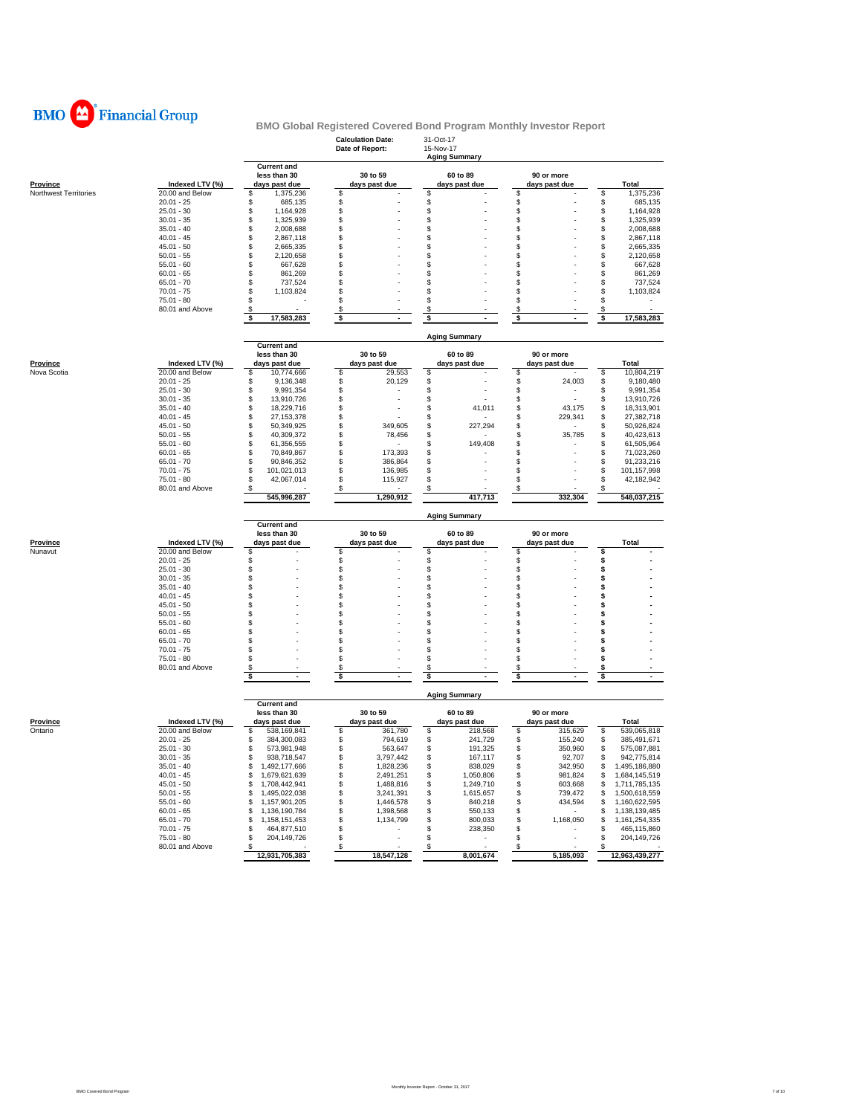

|                       |                              |                                    | <b>Calculation Date:</b><br>Date of Report: | 31-Oct-17<br>15-Nov-17<br><b>Aging Summary</b> |                 |                                     |
|-----------------------|------------------------------|------------------------------------|---------------------------------------------|------------------------------------------------|-----------------|-------------------------------------|
|                       |                              | <b>Current and</b><br>less than 30 | 30 to 59                                    | 60 to 89                                       | 90 or more      |                                     |
| <b>Province</b>       | Indexed LTV (%)              | days past due                      | days past due                               | days past due                                  | days past due   | Total                               |
| Northwest Territories | 20.00 and Below              | 1,375,236<br>\$                    | \$                                          | \$                                             | \$              | 1,375,236<br>S                      |
|                       | $20.01 - 25$<br>$25.01 - 30$ | \$<br>685,135<br>\$<br>1,164,928   | \$<br>\$                                    | \$<br>\$                                       | \$<br>\$        | 685,135<br>\$<br>\$<br>1,164,928    |
|                       | $30.01 - 35$                 | \$<br>1,325,939                    | \$                                          | \$                                             | \$              | 1,325,939<br>S                      |
|                       | $35.01 - 40$                 | \$<br>2,008,688                    | \$                                          | \$                                             | \$              | S<br>2,008,688                      |
|                       | $40.01 - 45$                 | \$<br>2,867,118                    | \$                                          | \$                                             | \$              | 2,867,118<br>S                      |
|                       | $45.01 - 50$                 | \$<br>2,665,335                    | \$                                          | \$                                             | \$              | 2,665,335<br>S                      |
|                       | $50.01 - 55$                 | \$<br>2,120,658                    | \$                                          | \$                                             | \$              | S<br>2,120,658                      |
|                       | $55.01 - 60$                 | \$<br>667,628                      | \$                                          | \$                                             | \$              | S<br>667,628                        |
|                       | $60.01 - 65$                 | \$<br>861,269                      | \$                                          | \$                                             | \$              | 861,269<br>S                        |
|                       | $65.01 - 70$                 | \$<br>737,524                      | \$                                          | \$                                             | \$              | 737,524<br>\$                       |
|                       | $70.01 - 75$                 | \$<br>1,103,824                    | \$                                          | \$                                             | \$              | 1,103,824<br>S                      |
|                       | 75.01 - 80                   | \$                                 | \$                                          | \$                                             | \$              | S                                   |
|                       | 80.01 and Above              | \$                                 | \$                                          | \$                                             | S               | S                                   |
|                       |                              | \$<br>17,583,283                   | \$                                          | \$                                             | \$              | \$<br>17,583,283                    |
|                       |                              | <b>Current and</b>                 |                                             | <b>Aging Summary</b>                           |                 |                                     |
|                       |                              | less than 30                       | 30 to 59                                    | 60 to 89                                       | 90 or more      |                                     |
| <b>Province</b>       | Indexed LTV (%)              | days past due                      | days past due                               | days past due                                  | days past due   | Total                               |
| Nova Scotia           | 20.00 and Below              | \$<br>10,774,666                   | \$<br>29,553                                | \$                                             | \$              | \$<br>10,804,219                    |
|                       | $20.01 - 25$                 | \$<br>9,136,348                    | \$<br>20,129                                | \$                                             | \$<br>24,003    | \$<br>9,180,480                     |
|                       | $25.01 - 30$                 | \$<br>9,991,354                    | \$                                          | \$                                             | \$              | \$<br>9,991,354                     |
|                       | $30.01 - 35$                 | \$<br>13,910,726                   | \$                                          | \$                                             | \$              | \$<br>13,910,726                    |
|                       | $35.01 - 40$                 | \$<br>18,229,716                   | \$                                          | \$<br>41,011                                   | \$<br>43,175    | \$<br>18,313,901                    |
|                       | $40.01 - 45$                 | \$<br>27, 153, 378                 | \$                                          | \$                                             | \$<br>229,341   | \$<br>27,382,718                    |
|                       | $45.01 - 50$                 | \$<br>50,349,925                   | \$<br>349,605                               | \$<br>227,294                                  | \$              | 50,926,824<br>\$                    |
|                       | $50.01 - 55$                 | \$<br>40,309,372<br>\$             | \$<br>78,456                                | \$                                             | \$<br>35,785    | 40,423,613<br>\$                    |
|                       | $55.01 - 60$<br>$60.01 - 65$ | 61,356,555<br>\$<br>70,849,867     | \$<br>\$<br>173,393                         | \$<br>149,408<br>\$                            | \$<br>\$        | \$<br>61,505,964<br>S<br>71,023,260 |
|                       | $65.01 - 70$                 | \$<br>90,846,352                   | \$<br>386,864                               | \$                                             | \$              | 91,233,216<br>S                     |
|                       | $70.01 - 75$                 | \$<br>101,021,013                  | \$<br>136,985                               | \$                                             | \$              | \$<br>101,157,998                   |
|                       | $75.01 - 80$                 | \$<br>42,067,014                   | \$<br>115,927                               | \$                                             | \$              | S<br>42,182,942                     |
|                       | 80.01 and Above              | \$                                 | \$                                          | \$                                             | \$              | \$                                  |
|                       |                              | 545,996,287                        | 1,290,912                                   | 417,713                                        | 332,304         | 548,037,215                         |
|                       |                              |                                    |                                             |                                                |                 |                                     |
|                       |                              |                                    |                                             | <b>Aging Summary</b>                           |                 |                                     |
|                       |                              | <b>Current and</b>                 |                                             |                                                |                 |                                     |
|                       |                              | less than 30                       | 30 to 59                                    | 60 to 89                                       | 90 or more      |                                     |
| <b>Province</b>       | Indexed LTV (%)              | days past due                      | days past due                               | days past due                                  | days past due   | <b>Total</b>                        |
| Nunavut               | 20.00 and Below              | \$                                 | \$                                          | \$                                             | \$              | \$                                  |
|                       | $20.01 - 25$                 | \$                                 | \$                                          | \$                                             | \$              | \$                                  |
|                       | $25.01 - 30$                 | \$                                 | \$                                          | \$                                             | \$              | \$<br>S                             |
|                       | $30.01 - 35$<br>$35.01 - 40$ | \$<br>\$                           | \$<br>\$                                    | \$<br>\$                                       | \$<br>\$        | s                                   |
|                       | $40.01 - 45$                 | \$                                 | \$                                          | \$                                             | \$              | s                                   |
|                       | $45.01 - 50$                 | \$                                 | \$                                          | \$                                             | \$              | s                                   |
|                       | $50.01 - 55$                 | \$                                 | \$                                          | \$                                             | \$              | S                                   |
|                       | $55.01 - 60$                 | \$                                 | \$                                          | \$                                             | \$              | s                                   |
|                       | $60.01 - 65$                 | \$                                 | \$                                          | \$                                             | \$              | \$                                  |
|                       | $65.01 - 70$                 | \$                                 | \$                                          | \$                                             | \$              | s                                   |
|                       | $70.01 - 75$                 | \$                                 | \$                                          | \$                                             | \$              | s                                   |
|                       | 75.01 - 80                   | \$                                 | \$                                          | \$                                             | \$              | s                                   |
|                       | 80.01 and Above              | \$<br>\$<br>٠                      | \$<br>\$                                    | \$<br>\$                                       | \$<br>\$<br>٠   | s<br>\$                             |
|                       |                              |                                    |                                             |                                                |                 |                                     |
|                       |                              | <b>Current and</b>                 |                                             | <b>Aging Summary</b>                           |                 |                                     |
|                       |                              | less than 30                       | 30 to 59                                    | 60 to 89                                       | 90 or more      |                                     |
| <u>Province</u>       | Indexed LTV (%)              | days past due                      | days past due                               | days past due                                  | days past due   | Total                               |
| Ontario               | 20.00 and Below              | \$<br>538,169,841                  | \$<br>361,780                               | \$<br>218,568                                  | \$<br>315,629   | \$<br>539,065,818                   |
|                       | $20.01 - 25$                 | \$<br>384,300,083                  | \$<br>794,619                               | \$<br>241,729                                  | \$<br>155,240   | \$<br>385,491,671                   |
|                       | $25.01 - 30$                 | \$<br>573,981,948                  | \$<br>563,647                               | \$<br>191,325                                  | \$<br>350,960   | \$<br>575,087,881                   |
|                       | $30.01 - 35$                 | \$<br>938,718,547                  | \$<br>3,797,442                             | \$<br>167,117                                  | \$<br>92,707    | \$<br>942,775,814                   |
|                       | $35.01 - 40$                 | S<br>1,492,177,666                 | S<br>1,828,236                              | s<br>838,029                                   | S<br>342,950    | \$<br>1,495,186,880                 |
|                       | $40.01 - 45$                 | \$<br>1,679,621,639                | \$<br>2,491,251                             | \$<br>1,050,806                                | \$<br>981,824   | \$<br>1,684,145,519                 |
|                       | $45.01 - 50$                 | 1,708,442,941<br>\$                | \$<br>1,488,816                             | \$<br>1,249,710                                | \$<br>603,668   | 1,711,785,135<br>\$                 |
|                       | $50.01 - 55$                 | \$<br>1,495,022,038                | \$<br>3,241,391                             | \$<br>1,615,657                                | \$<br>739,472   | 1,500,618,559<br>S                  |
|                       | $55.01 - 60$                 | 1,157,901,205<br>\$                | \$<br>1,446,578                             | \$<br>840,218                                  | \$<br>434,594   | 1,160,622,595<br>S                  |
|                       | $60.01 - 65$                 | \$<br>1,136,190,784                | \$<br>1,398,568                             | \$<br>550,133                                  | \$<br>$\sim$    | \$<br>1,138,139,485                 |
|                       | $65.01 - 70$                 | \$<br>1,158,151,453                | \$<br>1,134,799                             | \$<br>800,033                                  | \$<br>1,168,050 | 1,161,254,335<br>\$                 |
|                       | $70.01 - 75$                 | \$<br>464,877,510                  | \$                                          | \$<br>238,350                                  | \$<br>٠         | \$<br>465,115,860                   |
|                       | $75.01 - 80$                 | \$<br>204,149,726                  | \$                                          | \$<br>$\sim$                                   | \$              | 204,149,726<br>\$                   |
|                       | 80.01 and Above              | \$<br>12,931,705,383               | \$<br>18,547,128                            | \$<br>$\overline{\phantom{a}}$<br>8,001,674    | \$<br>5,185,093 | S<br>12,963,439,277                 |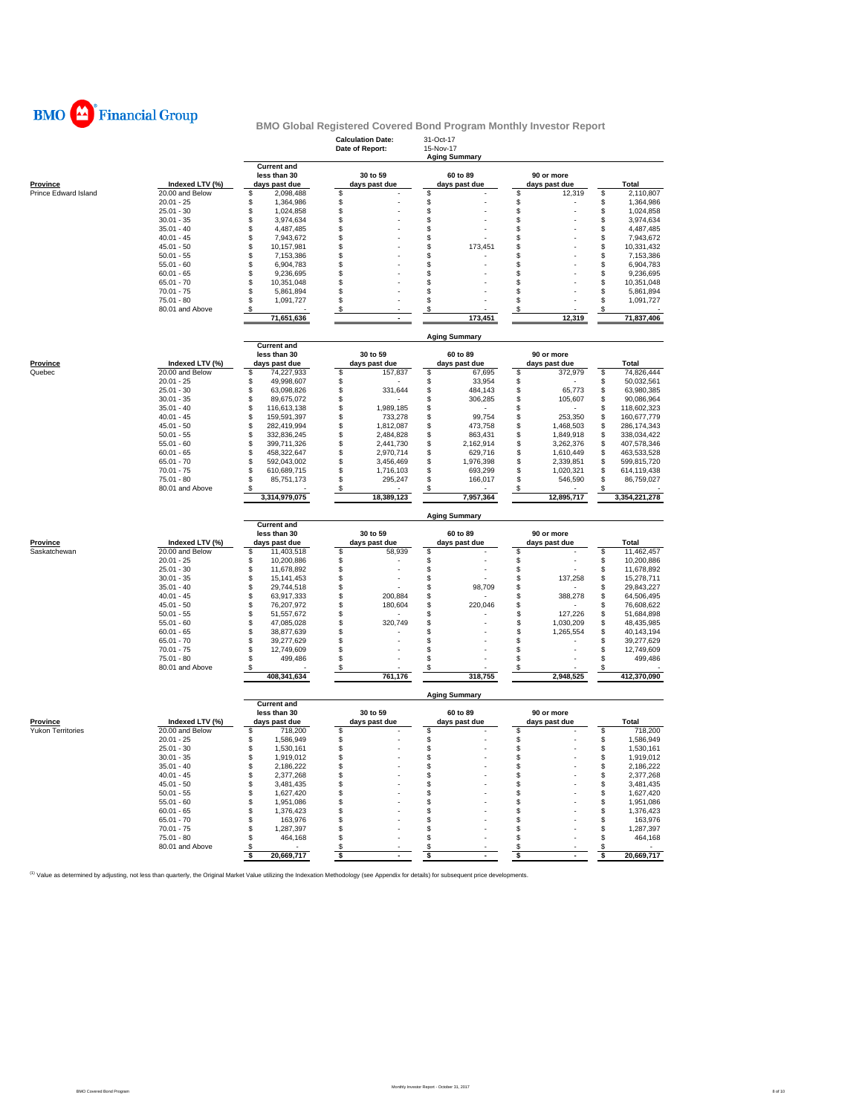

|                          |                              |                                                     | <b>Calculation Date:</b><br>Date of Report: | 31-Oct-17<br>15-Nov-17<br><b>Aging Summary</b> |                |                             |                    |                            |
|--------------------------|------------------------------|-----------------------------------------------------|---------------------------------------------|------------------------------------------------|----------------|-----------------------------|--------------------|----------------------------|
| <b>Province</b>          | Indexed LTV (%)              | <b>Current and</b><br>less than 30<br>days past due | 30 to 59<br>days past due                   | 60 to 89<br>days past due                      |                | 90 or more<br>days past due |                    | Total                      |
| Prince Edward Island     | 20.00 and Below              | \$<br>2,098,488                                     | \$                                          | S                                              | \$             | 12,319                      | \$                 | 2,110,807                  |
|                          | $20.01 - 25$                 | \$<br>1.364.986                                     | \$                                          | \$                                             | \$             |                             | \$                 | 1,364,986                  |
|                          | $25.01 - 30$                 | \$<br>1,024,858                                     | \$                                          | \$                                             | \$             |                             | \$                 | 1,024,858                  |
|                          | $30.01 - 35$                 | $\ddot{\$}$<br>3,974,634                            | \$                                          | \$                                             | £.             |                             | $\mathbf{\hat{z}}$ | 3,974,634                  |
|                          | $35.01 - 40$                 | \$<br>4,487,485                                     | \$                                          | \$                                             | \$             |                             | \$                 | 4,487,485                  |
|                          | $40.01 - 45$                 | \$<br>7,943,672                                     | \$                                          | \$                                             | \$             |                             | \$                 | 7,943,672                  |
|                          | $45.01 - 50$                 | \$<br>10,157,981                                    | \$                                          | \$<br>173,451                                  | $\mathfrak{L}$ |                             | \$                 | 10,331,432                 |
|                          | $50.01 - 55$                 | \$<br>7,153,386                                     | \$                                          | \$                                             | \$             |                             | \$                 | 7,153,386                  |
|                          | $55.01 - 60$                 | \$<br>6,904,783                                     | \$                                          | \$                                             | \$             |                             | \$                 | 6,904,783                  |
|                          | $60.01 - 65$                 | \$<br>9,236,695                                     | \$                                          | \$                                             | $\mathfrak{L}$ |                             | \$                 | 9,236,695                  |
|                          | $65.01 - 70$                 | \$<br>10,351,048                                    | \$                                          | \$                                             | \$             |                             | \$                 | 10,351,048                 |
|                          | $70.01 - 75$<br>$75.01 - 80$ | \$<br>5,861,894<br>\$                               | \$<br>\$                                    | \$<br>\$                                       | \$<br>£.       |                             | \$<br>\$           | 5,861,894                  |
|                          | 80.01 and Above              | 1,091,727<br>\$                                     |                                             |                                                |                |                             |                    | 1,091,727                  |
|                          |                              | 71,651,636                                          | \$<br>$\blacksquare$                        | \$<br>173,451                                  | \$             | 12,319                      | \$                 | 71,837,406                 |
|                          |                              |                                                     |                                             | <b>Aging Summary</b>                           |                |                             |                    |                            |
|                          |                              | <b>Current and</b><br>less than 30                  | 30 to 59                                    | 60 to 89                                       |                | 90 or more                  |                    |                            |
| <b>Province</b>          | Indexed LTV (%)              | days past due                                       | days past due                               | days past due                                  |                | days past due               |                    | Total                      |
| Quebec                   | 20.00 and Below              | \$<br>74,227,933                                    | \$<br>157,837                               | \$                                             | \$<br>67,695   | 372,979                     | \$                 | 74,826,444                 |
|                          | $20.01 - 25$                 | \$<br>49,998,607                                    | \$                                          | \$                                             | 33,954<br>\$   |                             | \$                 | 50,032,561                 |
|                          | $25.01 - 30$                 | \$<br>63,098,826                                    | \$<br>331,644                               | 484,143<br>\$                                  | \$             | 65,773                      | \$                 | 63,980,385                 |
|                          | $30.01 - 35$                 | \$<br>89,675,072                                    | \$                                          | 306,285<br>\$                                  | \$             | 105,607                     | \$                 | 90,086,964                 |
|                          | $35.01 - 40$                 | \$<br>116,613,138                                   | \$<br>1,989,185                             | \$                                             | \$             |                             | \$                 | 118,602,323                |
|                          | $40.01 - 45$                 | \$<br>159,591,397                                   | \$<br>733,278                               | \$                                             | 99,754<br>\$   | 253,350                     | \$                 | 160,677,779                |
|                          | $45.01 - 50$                 | \$<br>282,419,994                                   | \$<br>1,812,087                             | 473,758<br>\$                                  | \$             | 1,468,503                   | \$                 | 286,174,343                |
|                          | $50.01 - 55$                 | \$<br>332,836,245                                   | \$<br>2,484,828                             | \$<br>863,431                                  | \$             | 1,849,918                   | \$                 | 338,034,422                |
|                          | $55.01 - 60$                 | \$<br>399,711,326                                   | \$<br>2,441,730                             | \$<br>2,162,914                                | \$             | 3,262,376                   | \$                 | 407,578,346                |
|                          | $60.01 - 65$                 | \$<br>458,322,647                                   | \$<br>2,970,714                             | \$<br>629,716<br>S                             | \$<br>\$.      | 1,610,449                   | \$<br>\$           | 463,533,528                |
|                          | $65.01 - 70$<br>$70.01 - 75$ | \$<br>592,043,002<br>610,689,715                    | \$<br>3,456,469                             | 1,976,398<br>\$<br>693,299                     | \$             | 2,339,851<br>1,020,321      |                    | 599,815,720<br>614,119,438 |
|                          | $75.01 - 80$                 | \$<br>\$<br>85,751,173                              | \$<br>1,716,103<br>\$<br>295,247            | \$<br>166,017                                  | \$             | 546,590                     | \$<br>\$           | 86,759,027                 |
|                          | 80.01 and Above              | \$                                                  | \$                                          | S                                              | \$             |                             | \$                 |                            |
|                          |                              | 3,314,979,075                                       | 18,389,123                                  | 7,957,364                                      |                | 12,895,717                  |                    | 3,354,221,278              |
|                          |                              |                                                     |                                             | <b>Aging Summary</b>                           |                |                             |                    |                            |
|                          |                              | <b>Current and</b><br>less than 30                  | 30 to 59                                    | 60 to 89                                       |                | 90 or more                  |                    |                            |
| <b>Province</b>          | Indexed LTV (%)              | days past due                                       | days past due                               | days past due                                  |                | days past due               |                    | Total                      |
| Saskatchewan             | 20.00 and Below              | \$<br>11,403,518                                    | \$<br>58,939                                | \$                                             | $\mathfrak{L}$ |                             | £.                 | 11,462,457                 |
|                          | $20.01 - 25$                 | \$<br>10,200,886                                    | \$                                          | \$                                             | \$             |                             | \$                 | 10,200,886                 |
|                          | $25.01 - 30$                 | \$<br>11,678,892                                    | \$                                          | \$                                             | \$             |                             | \$                 | 11,678,892                 |
|                          | $30.01 - 35$                 | \$<br>15, 141, 453                                  | \$                                          | \$                                             | \$<br>\$       | 137,258                     | £.                 | 15,278,711                 |
|                          | $35.01 - 40$                 | \$<br>29,744,518<br>63,917,333                      | \$<br>\$                                    | \$                                             | 98,709         |                             | \$                 | 29,843,227                 |
|                          | $40.01 - 45$<br>$45.01 - 50$ | \$<br>\$<br>76,207,972                              | 200,884<br>\$<br>180,604                    | \$<br>220,046<br>\$                            | \$<br>\$       | 388,278                     | \$<br>\$           | 64,506,495<br>76,608,622   |
|                          | $50.01 - 55$                 | \$<br>51,557,672                                    | \$                                          | \$                                             | \$             | 127,226                     | \$                 | 51,684,898                 |
|                          | $55.01 - 60$                 | \$<br>47,085,028                                    | \$<br>320,749                               | \$                                             | \$             | 1,030,209                   | \$                 | 48,435,985                 |
|                          | $60.01 - 65$                 | \$<br>38,877,639                                    | \$                                          | \$                                             | \$             | 1,265,554                   | \$                 | 40,143,194                 |
|                          | $65.01 - 70$                 | \$<br>39,277,629                                    | \$                                          | \$                                             | \$             |                             | \$                 | 39,277,629                 |
|                          | $70.01 - 75$                 | \$<br>12,749,609                                    | \$                                          | \$                                             | \$             |                             | \$                 | 12,749,609                 |
|                          | $75.01 - 80$                 | \$<br>499.486                                       | \$                                          | \$                                             | $\mathbf{s}$   |                             | \$                 | 499,486                    |
|                          | 80.01 and Above              | \$                                                  | \$                                          | S                                              | \$             |                             |                    |                            |
|                          |                              | 408,341,634                                         | 761,176                                     | 318,755                                        |                | 2,948,525                   |                    | 412,370,090                |
|                          |                              | <b>Current and</b>                                  |                                             | <b>Aging Summary</b>                           |                |                             |                    |                            |
|                          |                              | less than 30                                        | 30 to 59                                    | 60 to 89                                       |                | 90 or more                  |                    |                            |
| Province                 | Indexed LTV (%)              | days past due                                       | days past due                               | days past due                                  |                | days past due               |                    | Total                      |
| <b>Yukon Territories</b> | 20.00 and Below              | 718,200<br>\$                                       | \$                                          | S                                              | \$             |                             | S                  | 718,200                    |
|                          | $20.01 - 25$                 | \$<br>1,586,949                                     | \$                                          | \$                                             | \$             |                             | \$                 | 1,586,949                  |
|                          | $25.01 - 30$                 | \$<br>1,530,161                                     | \$                                          | \$                                             | \$             |                             | \$                 | 1,530,161                  |
|                          | $30.01 - 35$                 | \$<br>1,919,012                                     | \$                                          | \$                                             | \$             |                             | \$                 | 1,919,012                  |
|                          | $35.01 - 40$                 | \$<br>2,186,222                                     | \$                                          | \$                                             | $\mathfrak{L}$ |                             | \$                 | 2,186,222                  |
|                          | $40.01 - 45$                 | \$<br>2,377,268                                     | \$                                          | \$                                             | \$             |                             | \$                 | 2,377,268                  |
|                          | $45.01 - 50$                 | \$<br>3,481,435                                     | \$                                          | \$                                             | \$             |                             | \$                 | 3,481,435                  |
|                          | $50.01 - 55$                 | \$<br>1,627,420                                     | \$                                          | S                                              | £.             |                             | \$                 | 1,627,420                  |
|                          | $55.01 - 60$                 | \$<br>1,951,086                                     | \$                                          | \$                                             | \$             |                             | \$                 | 1,951,086                  |
|                          | $60.01 - 65$                 | \$<br>1,376,423                                     | \$                                          | \$                                             | \$             |                             | \$                 | 1,376,423                  |
|                          | $65.01 - 70$                 | \$<br>163,976                                       | \$                                          | S                                              | £.             |                             | \$                 | 163,976                    |
|                          | $70.01 - 75$                 | \$<br>1,287,397                                     | \$                                          | \$                                             | \$             |                             | \$                 | 1,287,397                  |
|                          | $75.01 - 80$                 | \$<br>464,168                                       | \$                                          | \$                                             | \$             |                             | \$                 | 464,168                    |
|                          | 80.01 and Above              | \$<br>20,669,717<br>\$                              | \$<br>\$                                    | \$<br>\$                                       | \$<br>\$       |                             | \$<br>\$           | 20,669,717                 |
|                          |                              |                                                     |                                             |                                                |                |                             |                    |                            |

(1) Value as determined by adjusting, not less than quarterly, the Original Market Value utilizing the Indexation Methodology (see Appendix for details) for subsequent price developments.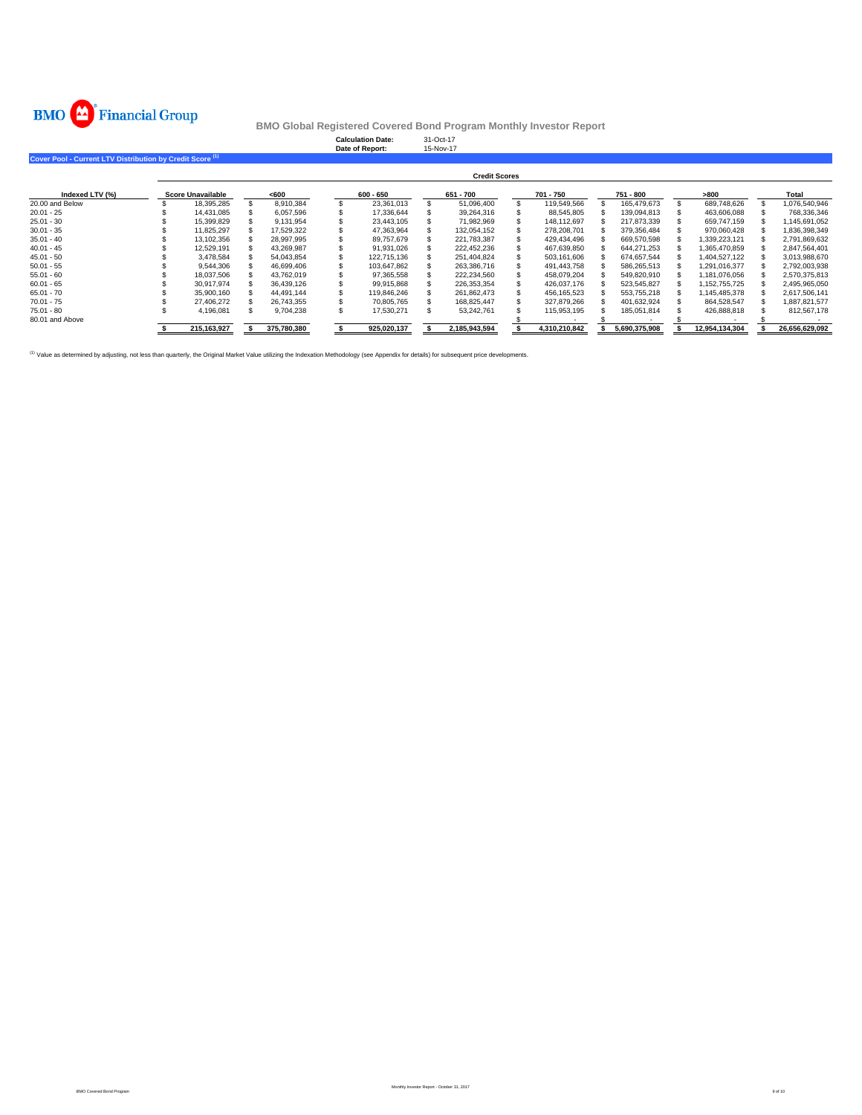

| Cover Pool - Current LTV Distribution by Credit Score <sup>(1)</sup> |                          |             | <b>Calculation Date:</b><br>Date of Report: | 31-Oct-17<br>15-Nov-17 |               |               |                |                |
|----------------------------------------------------------------------|--------------------------|-------------|---------------------------------------------|------------------------|---------------|---------------|----------------|----------------|
|                                                                      |                          |             |                                             | <b>Credit Scores</b>   |               |               |                |                |
| Indexed LTV (%)                                                      | <b>Score Unavailable</b> | < 600       | $600 - 650$                                 | 651 - 700              | 701 - 750     | 751 - 800     | >800           | Total          |
| 20.00 and Below                                                      | 18,395,285               | 8.910.384   | 23,361,013                                  | 51.096.400             | 119.549.566   | 165.479.673   | 689.748.626    | 1.076.540.946  |
| $20.01 - 25$                                                         | 14.431.085               | 6,057,596   | 17,336,644                                  | 39,264,316             | 88.545.805    | 139,094,813   | 463,606,088    | 768,336,346    |
| $25.01 - 30$                                                         | 15,399,829               | 9.131.954   | 23.443.105                                  | 71.982.969             | 148.112.697   | 217.873.339   | 659.747.159    | 1.145.691.052  |
| $30.01 - 35$                                                         | 11,825,297               | 17,529,322  | 47,363,964                                  | 132.054.152            | 278.208.701   | 379,356,484   | 970.060.428    | 1,836,398,349  |
| $35.01 - 40$                                                         | 13,102,356               | 28,997,995  | 89,757,679                                  | 221,783,387            | 429,434,496   | 669,570,598   | 1,339,223,121  | 2,791,869,632  |
| $40.01 - 45$                                                         | 12,529,191               | 43.269.987  | 91,931,026                                  | 222,452,236            | 467.639.850   | 644.271.253   | 1.365.470.859  | 2,847,564,401  |
| $45.01 - 50$                                                         | 3.478.584                | 54.043.854  | 122.715.136                                 | 251.404.824            | 503.161.606   | 674,657,544   | 1,404,527,122  | 3,013,988,670  |
| $50.01 - 55$                                                         | 9.544.306                | 46,699,406  | 103,647,862                                 | 263.386.716            | 491,443,758   | 586,265,513   | 1,291,016,377  | 2,792,003,938  |
| $55.01 - 60$                                                         | 18,037,506               | 43,762,019  | 97,365,558                                  | 222.234.560            | 458.079.204   | 549,820,910   | 1.181.076.056  | 2,570,375,813  |
| $60.01 - 65$                                                         | 30.917.974               | 36.439.126  | 99.915.868                                  | 226.353.354            | 426.037.176   | 523.545.827   | 1.152.755.725  | 2.495.965.050  |
| $65.01 - 70$                                                         | 35,900.160               | 44,491,144  | 119,846,246                                 | 261,862,473            | 456,165,523   | 553,755,218   | 1,145,485,378  | 2,617,506,141  |
| $70.01 - 75$                                                         | 27,406,272               | 26,743,355  | 70,805,765                                  | 168,825,447            | 327.879.266   | 401,632,924   | 864,528,547    | 1,887,821,577  |
| $75.01 - 80$                                                         | 4,196,081                | 9,704,238   | 17,530,271                                  | 53,242,761             | 115,953,195   | 185,051,814   | 426,888,818    | 812,567,178    |
| 80.01 and Above                                                      |                          |             |                                             |                        |               |               |                |                |
|                                                                      | 215.163.927              | 375,780,380 | 925.020.137                                 | 2.185.943.594          | 4.310.210.842 | 5.690.375.908 | 12.954.134.304 | 26.656.629.092 |

<sup>(1)</sup> Value as determined by adjusting, not less than quarterly, the Original Market Value utilizing the Indexation Methodology (see Appendix for details) for subsequent price developments.